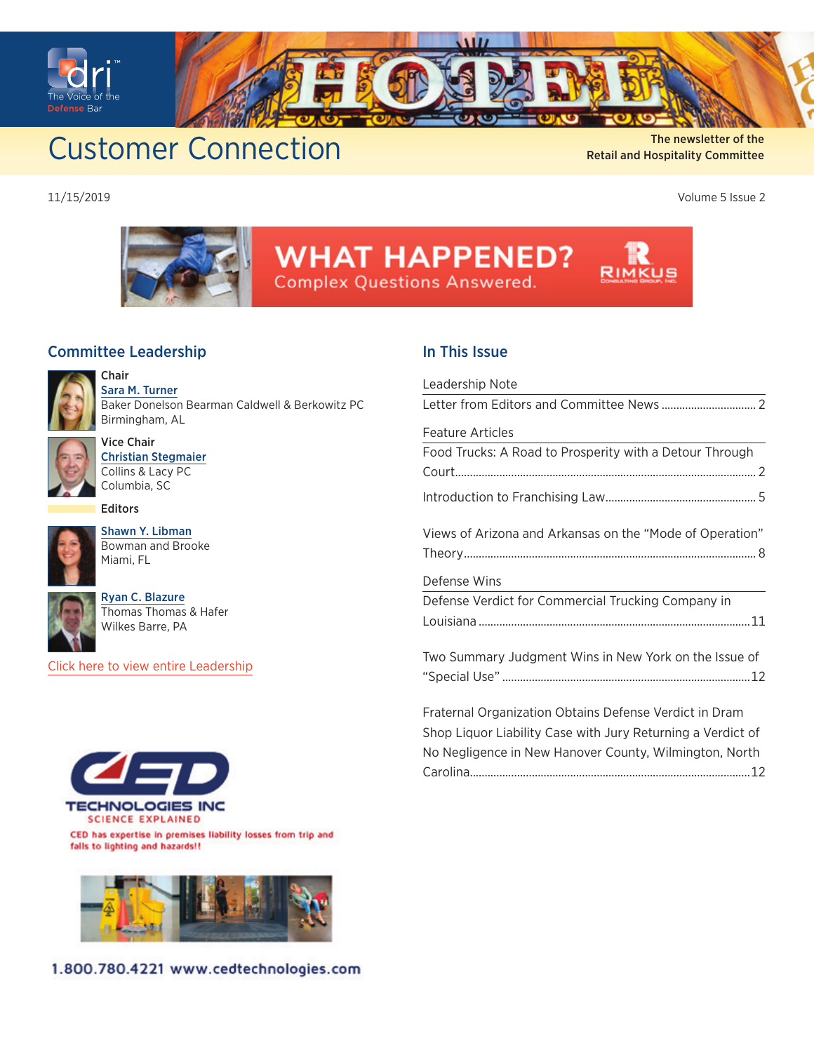<span id="page-0-0"></span>

The newsletter of the Customer Connection The newsletter of the The newsletter of the

Retail and Hospitality Committee

11/15/2019 Volume 5 Issue 2



# **WHAT HAPPENED?**

**Complex Questions Answered.** 

#### Committee Leadership



Chair [Sara M. Turner](https://members.dri.org/DRIIMIS/DRI/Contacts/ContactLayouts/Profile.aspx?ID=269017) Baker Donelson Bearman Caldwell & Berkowitz PC Birmingham, AL



Vice Chair [Christian Stegmaier](https://members.dri.org/DRIIMIS/DRI/Contacts/ContactLayouts/Profile.aspx?ID=274226) Collins & Lacy PC Columbia, SC

Editors



[Shawn Y. Libman](https://members.dri.org/DRIIMIS/DRI/Contacts/ContactLayouts/Profile.aspx?ID=376769) Bowman and Brooke Miami, FL



[Ryan C. Blazure](https://members.dri.org/DRIIMIS/DRI/Contacts/ContactLayouts/Profile.aspx?ID=347477) Thomas Thomas & Hafer Wilkes Barre, PA

[Click here to view entire Leadership](https://www.dri.org/committees/leadership/0460)



CED has expertise in premises liability losses from trip and falls to lighting and hazards!!



1.800.780.4221 www.cedtechnologies.com

#### In This Issue

| Leadership Note                                             |
|-------------------------------------------------------------|
| Letter from Editors and Committee News  2                   |
| Feature Articles                                            |
| Food Trucks: A Road to Prosperity with a Detour Through     |
|                                                             |
|                                                             |
| Views of Arizona and Arkansas on the "Mode of Operation"    |
|                                                             |
| Defense Wins                                                |
| Defense Verdict for Commercial Trucking Company in          |
|                                                             |
| Two Summary Judgment Wins in New York on the Issue of       |
|                                                             |
| Fraternal Organization Obtains Defense Verdict in Dram      |
| Shop Liquor Liability Case with Jury Returning a Verdict of |
| No Negligence in New Hanover County, Wilmington, North      |
|                                                             |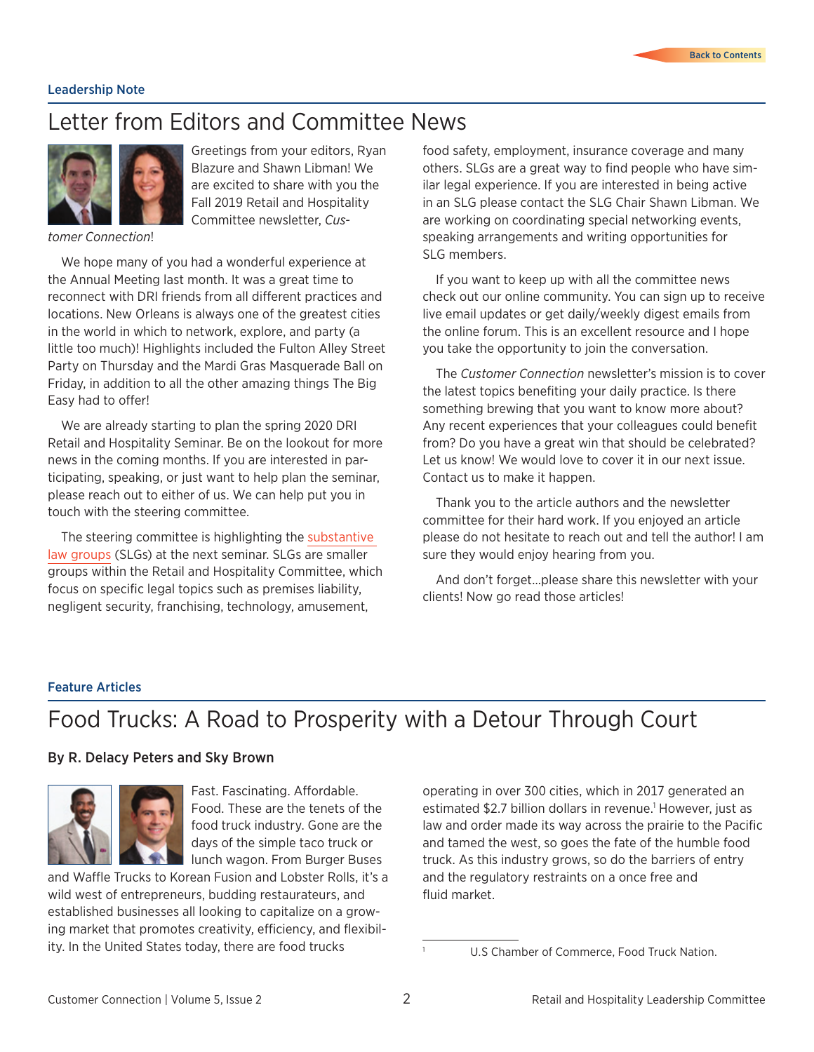#### <span id="page-1-0"></span>Leadership Note

### Letter from Editors and Committee News



Greetings from your editors, Ryan Blazure and Shawn Libman! We are excited to share with you the Fall 2019 Retail and Hospitality Committee newsletter, *Cus-*

*tomer Connection*!

We hope many of you had a wonderful experience at the Annual Meeting last month. It was a great time to reconnect with DRI friends from all different practices and locations. New Orleans is always one of the greatest cities in the world in which to network, explore, and party (a little too much)! Highlights included the Fulton Alley Street Party on Thursday and the Mardi Gras Masquerade Ball on Friday, in addition to all the other amazing things The Big Easy had to offer!

We are already starting to plan the spring 2020 DRI Retail and Hospitality Seminar. Be on the lookout for more news in the coming months. If you are interested in participating, speaking, or just want to help plan the seminar, please reach out to either of us. We can help put you in touch with the steering committee.

The steering committee is highlighting the [substantive](https://members.dri.org/driimis/DRI/Members/Committee_Managment.aspx?CommitteeCode=0460&Action=SC)  [law groups](https://members.dri.org/driimis/DRI/Members/Committee_Managment.aspx?CommitteeCode=0460&Action=SC) (SLGs) at the next seminar. SLGs are smaller groups within the Retail and Hospitality Committee, which focus on specific legal topics such as premises liability, negligent security, franchising, technology, amusement,

food safety, employment, insurance coverage and many others. SLGs are a great way to find people who have similar legal experience. If you are interested in being active in an SLG please contact the SLG Chair Shawn Libman. We are working on coordinating special networking events, speaking arrangements and writing opportunities for SLG members.

If you want to keep up with all the committee news check out our online community. You can sign up to receive live email updates or get daily/weekly digest emails from the online forum. This is an excellent resource and I hope you take the opportunity to join the conversation.

The *Customer Connection* newsletter's mission is to cover the latest topics benefiting your daily practice. Is there something brewing that you want to know more about? Any recent experiences that your colleagues could benefit from? Do you have a great win that should be celebrated? Let us know! We would love to cover it in our next issue. Contact us to make it happen.

Thank you to the article authors and the newsletter committee for their hard work. If you enjoyed an article please do not hesitate to reach out and tell the author! I am sure they would enjoy hearing from you.

And don't forget…please share this newsletter with your clients! Now go read those articles!

#### Feature Articles

### Food Trucks: A Road to Prosperity with a Detour Through Court

#### By R. Delacy Peters and Sky Brown



Fast. Fascinating. Affordable. Food. These are the tenets of the food truck industry. Gone are the days of the simple taco truck or lunch wagon. From Burger Buses

and Waffle Trucks to Korean Fusion and Lobster Rolls, it's a wild west of entrepreneurs, budding restaurateurs, and established businesses all looking to capitalize on a growing market that promotes creativity, efficiency, and flexibility. In the United States today, there are food trucks

operating in over 300 cities, which in 2017 generated an estimated \$2.7 billion dollars in revenue.<sup>1</sup> However, just as law and order made its way across the prairie to the Pacific and tamed the west, so goes the fate of the humble food truck. As this industry grows, so do the barriers of entry and the regulatory restraints on a once free and fluid market.

U.S Chamber of Commerce, Food Truck Nation.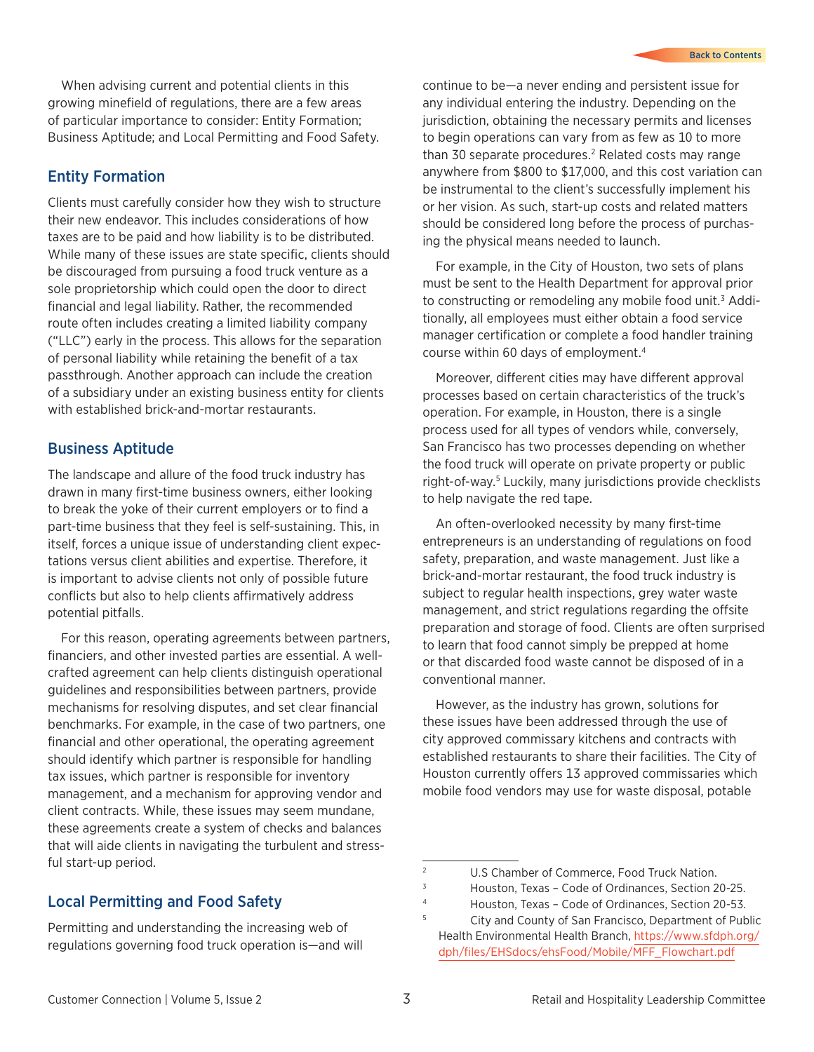When advising current and potential clients in this growing minefield of regulations, there are a few areas of particular importance to consider: Entity Formation; Business Aptitude; and Local Permitting and Food Safety.

#### Entity Formation

Clients must carefully consider how they wish to structure their new endeavor. This includes considerations of how taxes are to be paid and how liability is to be distributed. While many of these issues are state specific, clients should be discouraged from pursuing a food truck venture as a sole proprietorship which could open the door to direct financial and legal liability. Rather, the recommended route often includes creating a limited liability company ("LLC") early in the process. This allows for the separation of personal liability while retaining the benefit of a tax passthrough. Another approach can include the creation of a subsidiary under an existing business entity for clients with established brick-and-mortar restaurants.

#### Business Aptitude

The landscape and allure of the food truck industry has drawn in many first-time business owners, either looking to break the yoke of their current employers or to find a part-time business that they feel is self-sustaining. This, in itself, forces a unique issue of understanding client expectations versus client abilities and expertise. Therefore, it is important to advise clients not only of possible future conflicts but also to help clients affirmatively address potential pitfalls.

For this reason, operating agreements between partners, financiers, and other invested parties are essential. A wellcrafted agreement can help clients distinguish operational guidelines and responsibilities between partners, provide mechanisms for resolving disputes, and set clear financial benchmarks. For example, in the case of two partners, one financial and other operational, the operating agreement should identify which partner is responsible for handling tax issues, which partner is responsible for inventory management, and a mechanism for approving vendor and client contracts. While, these issues may seem mundane, these agreements create a system of checks and balances that will aide clients in navigating the turbulent and stressful start-up period.

#### Local Permitting and Food Safety

Permitting and understanding the increasing web of regulations governing food truck operation is—and will

continue to be—a never ending and persistent issue for any individual entering the industry. Depending on the jurisdiction, obtaining the necessary permits and licenses to begin operations can vary from as few as 10 to more than 30 separate procedures.<sup>2</sup> Related costs may range anywhere from \$800 to \$17,000, and this cost variation can be instrumental to the client's successfully implement his or her vision. As such, start-up costs and related matters should be considered long before the process of purchasing the physical means needed to launch.

For example, in the City of Houston, two sets of plans must be sent to the Health Department for approval prior to constructing or remodeling any mobile food unit.<sup>3</sup> Additionally, all employees must either obtain a food service manager certification or complete a food handler training course within 60 days of employment.4

Moreover, different cities may have different approval processes based on certain characteristics of the truck's operation. For example, in Houston, there is a single process used for all types of vendors while, conversely, San Francisco has two processes depending on whether the food truck will operate on private property or public right-of-way.5 Luckily, many jurisdictions provide checklists to help navigate the red tape.

An often-overlooked necessity by many first-time entrepreneurs is an understanding of regulations on food safety, preparation, and waste management. Just like a brick-and-mortar restaurant, the food truck industry is subject to regular health inspections, grey water waste management, and strict regulations regarding the offsite preparation and storage of food. Clients are often surprised to learn that food cannot simply be prepped at home or that discarded food waste cannot be disposed of in a conventional manner.

However, as the industry has grown, solutions for these issues have been addressed through the use of city approved commissary kitchens and contracts with established restaurants to share their facilities. The City of Houston currently offers 13 approved commissaries which mobile food vendors may use for waste disposal, potable

<sup>2</sup> U.S Chamber of Commerce, Food Truck Nation.

<sup>3</sup> Houston, Texas – Code of Ordinances, Section 20-25.

<sup>4</sup> Houston, Texas – Code of Ordinances, Section 20-53.

<sup>5</sup> City and County of San Francisco, Department of Public Health Environmental Health Branch, [https://www.sfdph.org/](https://www.sfdph.org/dph/files/EHSdocs/ehsFood/Mobile/MFF_Flowchart.pdf) [dph/files/EHSdocs/ehsFood/Mobile/MFF\\_Flowchart.pdf](https://www.sfdph.org/dph/files/EHSdocs/ehsFood/Mobile/MFF_Flowchart.pdf)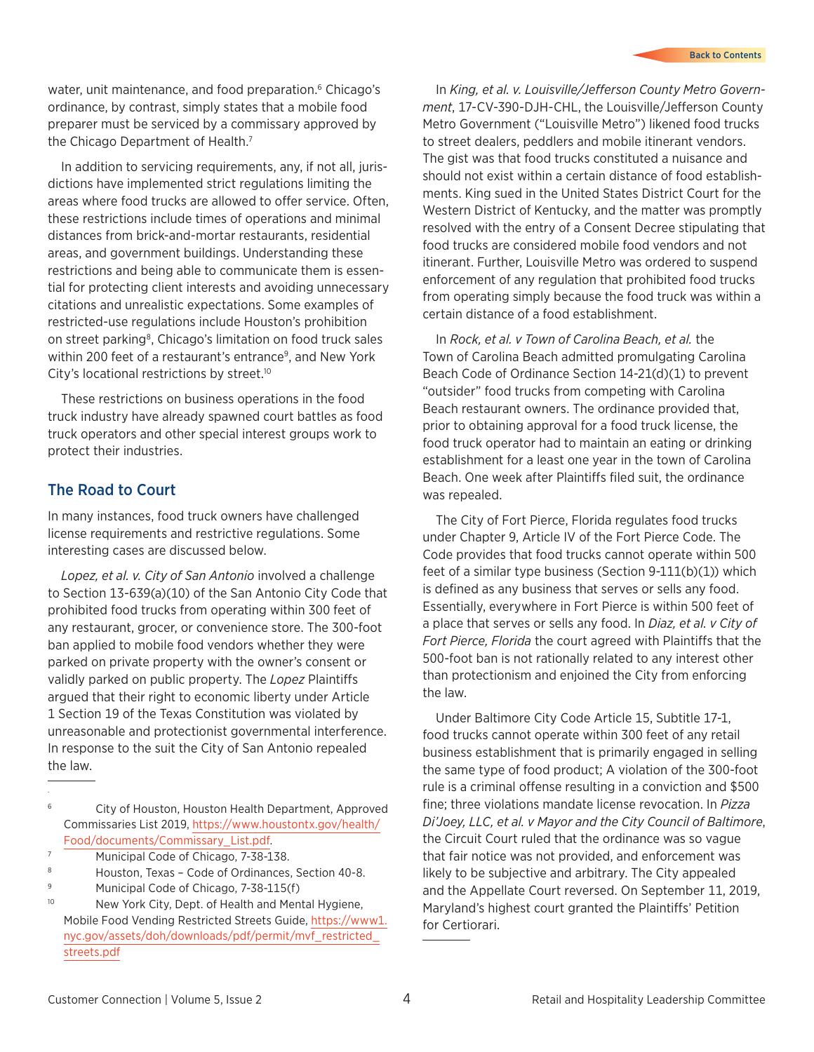water, unit maintenance, and food preparation.<sup>6</sup> Chicago's ordinance, by contrast, simply states that a mobile food preparer must be serviced by a commissary approved by the Chicago Department of Health.<sup>7</sup>

In addition to servicing requirements, any, if not all, jurisdictions have implemented strict regulations limiting the areas where food trucks are allowed to offer service. Often, these restrictions include times of operations and minimal distances from brick-and-mortar restaurants, residential areas, and government buildings. Understanding these restrictions and being able to communicate them is essential for protecting client interests and avoiding unnecessary citations and unrealistic expectations. Some examples of restricted-use regulations include Houston's prohibition on street parking8, Chicago's limitation on food truck sales within 200 feet of a restaurant's entrance<sup>9</sup>, and New York City's locational restrictions by street.<sup>10</sup>

These restrictions on business operations in the food truck industry have already spawned court battles as food truck operators and other special interest groups work to protect their industries.

#### The Road to Court

In many instances, food truck owners have challenged license requirements and restrictive regulations. Some interesting cases are discussed below.

*Lopez, et al. v. City of San Antonio* involved a challenge to Section 13-639(a)(10) of the San Antonio City Code that prohibited food trucks from operating within 300 feet of any restaurant, grocer, or convenience store. The 300-foot ban applied to mobile food vendors whether they were parked on private property with the owner's consent or validly parked on public property. The *Lopez* Plaintiffs argued that their right to economic liberty under Article 1 Section 19 of the Texas Constitution was violated by unreasonable and protectionist governmental interference. In response to the suit the City of San Antonio repealed the law.

- Municipal Code of Chicago, 7-38-138.
- <sup>8</sup> Houston, Texas Code of Ordinances, Section 40-8.
- <sup>9</sup> Municipal Code of Chicago, 7-38-115(f)
- <sup>10</sup> New York City, Dept. of Health and Mental Hygiene, Mobile Food Vending Restricted Streets Guide, [https://www1.](https://www1.nyc.gov/assets/doh/downloads/pdf/permit/mvf_restricted_streets.pdf
) [nyc.gov/assets/doh/downloads/pdf/permit/mvf\\_restricted\\_](https://www1.nyc.gov/assets/doh/downloads/pdf/permit/mvf_restricted_streets.pdf
) [streets.pdf](https://www1.nyc.gov/assets/doh/downloads/pdf/permit/mvf_restricted_streets.pdf
)

In *King, et al. v. Louisville/Jefferson County Metro Government*, 17-CV-390-DJH-CHL, the Louisville/Jefferson County Metro Government ("Louisville Metro") likened food trucks to street dealers, peddlers and mobile itinerant vendors. The gist was that food trucks constituted a nuisance and should not exist within a certain distance of food establishments. King sued in the United States District Court for the Western District of Kentucky, and the matter was promptly resolved with the entry of a Consent Decree stipulating that food trucks are considered mobile food vendors and not itinerant. Further, Louisville Metro was ordered to suspend enforcement of any regulation that prohibited food trucks from operating simply because the food truck was within a certain distance of a food establishment.

In *Rock, et al. v Town of Carolina Beach, et al.* the Town of Carolina Beach admitted promulgating Carolina Beach Code of Ordinance Section 14-21(d)(1) to prevent "outsider" food trucks from competing with Carolina Beach restaurant owners. The ordinance provided that, prior to obtaining approval for a food truck license, the food truck operator had to maintain an eating or drinking establishment for a least one year in the town of Carolina Beach. One week after Plaintiffs filed suit, the ordinance was repealed.

The City of Fort Pierce, Florida regulates food trucks under Chapter 9, Article IV of the Fort Pierce Code. The Code provides that food trucks cannot operate within 500 feet of a similar type business (Section 9-111(b)(1)) which is defined as any business that serves or sells any food. Essentially, everywhere in Fort Pierce is within 500 feet of a place that serves or sells any food. In *Diaz, et al. v City of Fort Pierce, Florida* the court agreed with Plaintiffs that the 500-foot ban is not rationally related to any interest other than protectionism and enjoined the City from enforcing the law.

Under Baltimore City Code Article 15, Subtitle 17-1, food trucks cannot operate within 300 feet of any retail business establishment that is primarily engaged in selling the same type of food product; A violation of the 300-foot rule is a criminal offense resulting in a conviction and \$500 fine; three violations mandate license revocation. In *Pizza Di'Joey, LLC, et al. v Mayor and the City Council of Baltimore*, the Circuit Court ruled that the ordinance was so vague that fair notice was not provided, and enforcement was likely to be subjective and arbitrary. The City appealed and the Appellate Court reversed. On September 11, 2019, Maryland's highest court granted the Plaintiffs' Petition for Certiorari.

<sup>6</sup> City of Houston, Houston Health Department, Approved Commissaries List 2019, [https://www.houstontx.gov/health/](https://www.houstontx.gov/health/Food/documents/Commissary_List.pdf) [Food/documents/Commissary\\_List.pdf](https://www.houstontx.gov/health/Food/documents/Commissary_List.pdf).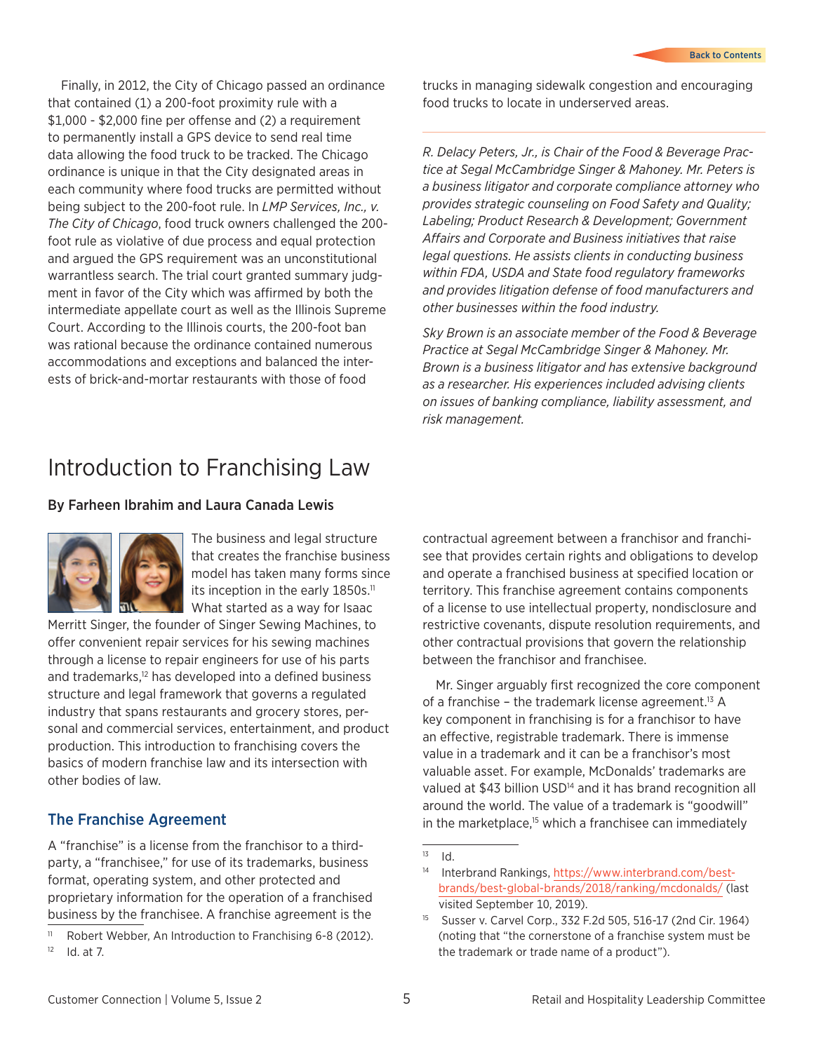<span id="page-4-0"></span>Finally, in 2012, the City of Chicago passed an ordinance that contained (1) a 200-foot proximity rule with a \$1,000 - \$2,000 fine per offense and (2) a requirement to permanently install a GPS device to send real time data allowing the food truck to be tracked. The Chicago ordinance is unique in that the City designated areas in each community where food trucks are permitted without being subject to the 200-foot rule. In *LMP Services, Inc., v. The City of Chicago*, food truck owners challenged the 200 foot rule as violative of due process and equal protection and argued the GPS requirement was an unconstitutional warrantless search. The trial court granted summary judgment in favor of the City which was affirmed by both the intermediate appellate court as well as the Illinois Supreme Court. According to the Illinois courts, the 200-foot ban was rational because the ordinance contained numerous accommodations and exceptions and balanced the interests of brick-and-mortar restaurants with those of food

trucks in managing sidewalk congestion and encouraging food trucks to locate in underserved areas.

*R. Delacy Peters, Jr., is Chair of the Food & Beverage Practice at Segal McCambridge Singer & Mahoney. Mr. Peters is a business litigator and corporate compliance attorney who provides strategic counseling on Food Safety and Quality; Labeling; Product Research & Development; Government Affairs and Corporate and Business initiatives that raise legal questions. He assists clients in conducting business within FDA, USDA and State food regulatory frameworks and provides litigation defense of food manufacturers and other businesses within the food industry.*

*Sky Brown is an associate member of the Food & Beverage Practice at Segal McCambridge Singer & Mahoney. Mr. Brown is a business litigator and has extensive background as a researcher. His experiences included advising clients on issues of banking compliance, liability assessment, and risk management.*

### Introduction to Franchising Law

#### By Farheen Ibrahim and Laura Canada Lewis



The business and legal structure that creates the franchise business model has taken many forms since its inception in the early 1850s.<sup>11</sup> What started as a way for Isaac

Merritt Singer, the founder of Singer Sewing Machines, to offer convenient repair services for his sewing machines through a license to repair engineers for use of his parts and trademarks,<sup>12</sup> has developed into a defined business structure and legal framework that governs a regulated industry that spans restaurants and grocery stores, personal and commercial services, entertainment, and product production. This introduction to franchising covers the basics of modern franchise law and its intersection with other bodies of law.

#### The Franchise Agreement

A "franchise" is a license from the franchisor to a thirdparty, a "franchisee," for use of its trademarks, business format, operating system, and other protected and proprietary information for the operation of a franchised business by the franchisee. A franchise agreement is the

contractual agreement between a franchisor and franchisee that provides certain rights and obligations to develop and operate a franchised business at specified location or territory. This franchise agreement contains components of a license to use intellectual property, nondisclosure and restrictive covenants, dispute resolution requirements, and other contractual provisions that govern the relationship between the franchisor and franchisee.

Mr. Singer arguably first recognized the core component of a franchise – the trademark license agreement.<sup>13</sup> A key component in franchising is for a franchisor to have an effective, registrable trademark. There is immense value in a trademark and it can be a franchisor's most valuable asset. For example, McDonalds' trademarks are valued at \$43 billion USD<sup>14</sup> and it has brand recognition all around the world. The value of a trademark is "goodwill" in the marketplace,<sup>15</sup> which a franchisee can immediately

<sup>&</sup>lt;sup>11</sup> Robert Webber, An Introduction to Franchising 6-8 (2012).  $12$  Id. at 7.

 $13$  Id.

<sup>14</sup> Interbrand Rankings, [https://www.interbrand.com/best](https://www.interbrand.com/best-brands/best-global-brands/2018/ranking/mcdonalds/)[brands/best-global-brands/2018/ranking/mcdonalds/](https://www.interbrand.com/best-brands/best-global-brands/2018/ranking/mcdonalds/) (last visited September 10, 2019).

<sup>15</sup> Susser v. Carvel Corp., 332 F.2d 505, 516-17 (2nd Cir. 1964) (noting that "the cornerstone of a franchise system must be the trademark or trade name of a product").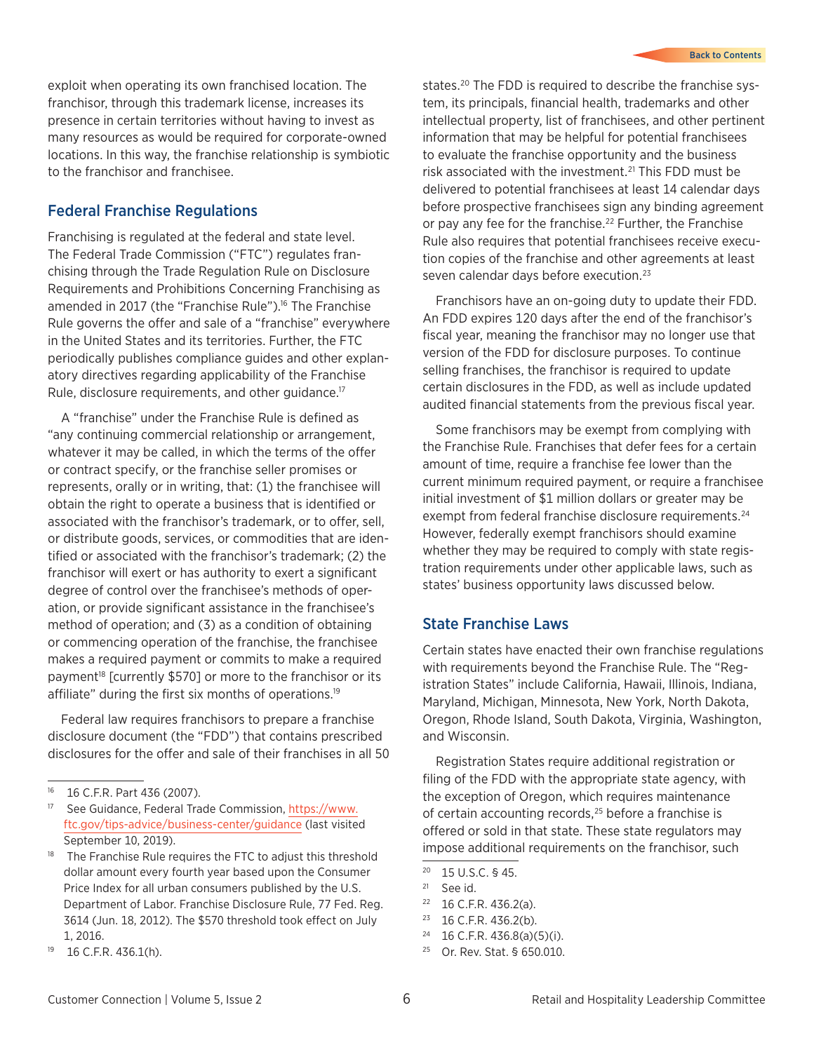exploit when operating its own franchised location. The franchisor, through this trademark license, increases its presence in certain territories without having to invest as many resources as would be required for corporate-owned locations. In this way, the franchise relationship is symbiotic to the franchisor and franchisee.

#### Federal Franchise Regulations

Franchising is regulated at the federal and state level. The Federal Trade Commission ("FTC") regulates franchising through the Trade Regulation Rule on Disclosure Requirements and Prohibitions Concerning Franchising as amended in 2017 (the "Franchise Rule").<sup>16</sup> The Franchise Rule governs the offer and sale of a "franchise" everywhere in the United States and its territories. Further, the FTC periodically publishes compliance guides and other explanatory directives regarding applicability of the Franchise Rule, disclosure requirements, and other guidance.<sup>17</sup>

A "franchise" under the Franchise Rule is defined as "any continuing commercial relationship or arrangement, whatever it may be called, in which the terms of the offer or contract specify, or the franchise seller promises or represents, orally or in writing, that: (1) the franchisee will obtain the right to operate a business that is identified or associated with the franchisor's trademark, or to offer, sell, or distribute goods, services, or commodities that are identified or associated with the franchisor's trademark; (2) the franchisor will exert or has authority to exert a significant degree of control over the franchisee's methods of operation, or provide significant assistance in the franchisee's method of operation; and (3) as a condition of obtaining or commencing operation of the franchise, the franchisee makes a required payment or commits to make a required payment<sup>18</sup> [currently \$570] or more to the franchisor or its affiliate" during the first six months of operations.19

Federal law requires franchisors to prepare a franchise disclosure document (the "FDD") that contains prescribed disclosures for the offer and sale of their franchises in all 50

states.<sup>20</sup> The FDD is required to describe the franchise system, its principals, financial health, trademarks and other intellectual property, list of franchisees, and other pertinent information that may be helpful for potential franchisees to evaluate the franchise opportunity and the business risk associated with the investment.<sup>21</sup> This FDD must be delivered to potential franchisees at least 14 calendar days before prospective franchisees sign any binding agreement or pay any fee for the franchise.<sup>22</sup> Further, the Franchise Rule also requires that potential franchisees receive execution copies of the franchise and other agreements at least seven calendar days before execution.<sup>23</sup>

Franchisors have an on-going duty to update their FDD. An FDD expires 120 days after the end of the franchisor's fiscal year, meaning the franchisor may no longer use that version of the FDD for disclosure purposes. To continue selling franchises, the franchisor is required to update certain disclosures in the FDD, as well as include updated audited financial statements from the previous fiscal year.

Some franchisors may be exempt from complying with the Franchise Rule. Franchises that defer fees for a certain amount of time, require a franchise fee lower than the current minimum required payment, or require a franchisee initial investment of \$1 million dollars or greater may be exempt from federal franchise disclosure requirements.<sup>24</sup> However, federally exempt franchisors should examine whether they may be required to comply with state registration requirements under other applicable laws, such as states' business opportunity laws discussed below.

#### State Franchise Laws

Certain states have enacted their own franchise regulations with requirements beyond the Franchise Rule. The "Registration States" include California, Hawaii, Illinois, Indiana, Maryland, Michigan, Minnesota, New York, North Dakota, Oregon, Rhode Island, South Dakota, Virginia, Washington, and Wisconsin.

Registration States require additional registration or filing of the FDD with the appropriate state agency, with the exception of Oregon, which requires maintenance of certain accounting records,<sup>25</sup> before a franchise is offered or sold in that state. These state regulators may impose additional requirements on the franchisor, such

23 16 C.F.R. 436.2(b).

25 Or. Rev. Stat. § 650.010.

<sup>16 16</sup> C.F.R. Part 436 (2007).

<sup>17</sup> See Guidance, Federal Trade Commission, [https://www.](https://www.ftc.gov/tips-advice/business-center/guidance) [ftc.gov/tips-advice/business-center/guidance](https://www.ftc.gov/tips-advice/business-center/guidance) (last visited September 10, 2019).

<sup>&</sup>lt;sup>18</sup> The Franchise Rule requires the FTC to adjust this threshold dollar amount every fourth year based upon the Consumer Price Index for all urban consumers published by the U.S. Department of Labor. Franchise Disclosure Rule, 77 Fed. Reg. 3614 (Jun. 18, 2012). The \$570 threshold took effect on July 1, 2016.

<sup>19 16</sup> C.F.R. 436.1(h).

<sup>20 15</sup> U.S.C. § 45.

<sup>21</sup> See id.

<sup>22 16</sup> C.F.R. 436.2(a).

 $24$  16 C.F.R. 436.8(a)(5)(i).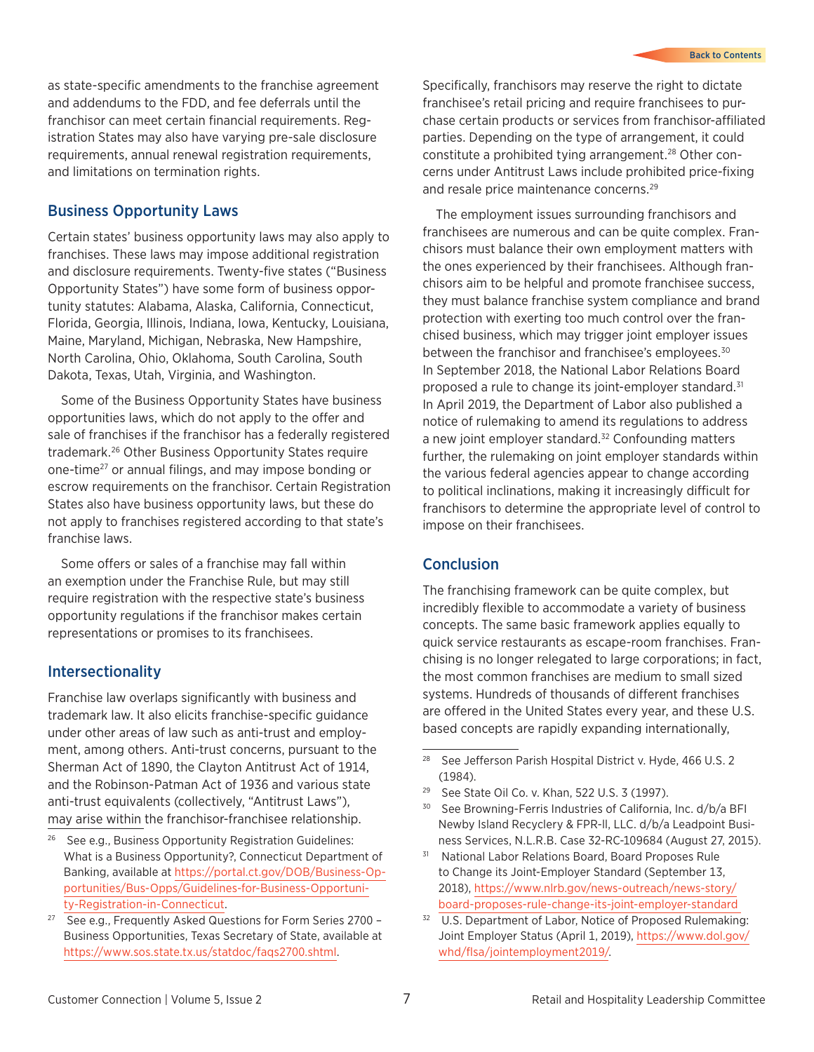as state-specific amendments to the franchise agreement and addendums to the FDD, and fee deferrals until the franchisor can meet certain financial requirements. Registration States may also have varying pre-sale disclosure requirements, annual renewal registration requirements, and limitations on termination rights.

#### Business Opportunity Laws

Certain states' business opportunity laws may also apply to franchises. These laws may impose additional registration and disclosure requirements. Twenty-five states ("Business Opportunity States") have some form of business opportunity statutes: Alabama, Alaska, California, Connecticut, Florida, Georgia, Illinois, Indiana, Iowa, Kentucky, Louisiana, Maine, Maryland, Michigan, Nebraska, New Hampshire, North Carolina, Ohio, Oklahoma, South Carolina, South Dakota, Texas, Utah, Virginia, and Washington.

Some of the Business Opportunity States have business opportunities laws, which do not apply to the offer and sale of franchises if the franchisor has a federally registered trademark.26 Other Business Opportunity States require one-time27 or annual filings, and may impose bonding or escrow requirements on the franchisor. Certain Registration States also have business opportunity laws, but these do not apply to franchises registered according to that state's franchise laws.

Some offers or sales of a franchise may fall within an exemption under the Franchise Rule, but may still require registration with the respective state's business opportunity regulations if the franchisor makes certain representations or promises to its franchisees.

#### **Intersectionality**

Franchise law overlaps significantly with business and trademark law. It also elicits franchise-specific guidance under other areas of law such as anti-trust and employment, among others. Anti-trust concerns, pursuant to the Sherman Act of 1890, the Clayton Antitrust Act of 1914, and the Robinson-Patman Act of 1936 and various state anti-trust equivalents (collectively, "Antitrust Laws"), may arise within the franchisor-franchisee relationship.

- See e.g., Business Opportunity Registration Guidelines: What is a Business Opportunity?, Connecticut Department of Banking, available at [https://portal.ct.gov/DOB/Business-Op](https://portal.ct.gov/DOB/Business-Opportunities/Bus-Opps/Guidelines-for-Business-Opportunity-Registration-in-Connecticut)[portunities/Bus-Opps/Guidelines-for-Business-Opportuni](https://portal.ct.gov/DOB/Business-Opportunities/Bus-Opps/Guidelines-for-Business-Opportunity-Registration-in-Connecticut)[ty-Registration-in-Connecticut.](https://portal.ct.gov/DOB/Business-Opportunities/Bus-Opps/Guidelines-for-Business-Opportunity-Registration-in-Connecticut)
- $27$  See e.g., Frequently Asked Questions for Form Series 2700 -Business Opportunities, Texas Secretary of State, available at <https://www.sos.state.tx.us/statdoc/faqs2700.shtml>.

Specifically, franchisors may reserve the right to dictate franchisee's retail pricing and require franchisees to purchase certain products or services from franchisor-affiliated parties. Depending on the type of arrangement, it could constitute a prohibited tying arrangement.<sup>28</sup> Other concerns under Antitrust Laws include prohibited price-fixing and resale price maintenance concerns.<sup>29</sup>

The employment issues surrounding franchisors and franchisees are numerous and can be quite complex. Franchisors must balance their own employment matters with the ones experienced by their franchisees. Although franchisors aim to be helpful and promote franchisee success, they must balance franchise system compliance and brand protection with exerting too much control over the franchised business, which may trigger joint employer issues between the franchisor and franchisee's employees.<sup>30</sup> In September 2018, the National Labor Relations Board proposed a rule to change its joint-employer standard.<sup>31</sup> In April 2019, the Department of Labor also published a notice of rulemaking to amend its regulations to address a new joint employer standard.<sup>32</sup> Confounding matters further, the rulemaking on joint employer standards within the various federal agencies appear to change according to political inclinations, making it increasingly difficult for franchisors to determine the appropriate level of control to impose on their franchisees.

#### **Conclusion**

The franchising framework can be quite complex, but incredibly flexible to accommodate a variety of business concepts. The same basic framework applies equally to quick service restaurants as escape-room franchises. Franchising is no longer relegated to large corporations; in fact, the most common franchises are medium to small sized systems. Hundreds of thousands of different franchises are offered in the United States every year, and these U.S. based concepts are rapidly expanding internationally,

- <sup>28</sup> See Jefferson Parish Hospital District v. Hyde, 466 U.S. 2 (1984).
- 29 See State Oil Co. v. Khan, 522 U.S. 3 (1997).
- 30 See Browning-Ferris Industries of California, Inc. d/b/a BFI Newby Island Recyclery & FPR-ll, LLC. d/b/a Leadpoint Business Services, N.L.R.B. Case 32-RC-109684 (August 27, 2015).
- National Labor Relations Board, Board Proposes Rule to Change its Joint-Employer Standard (September 13, 2018), [https://www.nlrb.gov/news-outreach/news-story/](https://www.nlrb.gov/news-outreach/news-story/board-proposes-rule-change-its-joint-employer-standard ) [board-proposes-rule-change-its-joint-employer-standard](https://www.nlrb.gov/news-outreach/news-story/board-proposes-rule-change-its-joint-employer-standard )
- 32 U.S. Department of Labor, Notice of Proposed Rulemaking: Joint Employer Status (April 1, 2019), [https://www.dol.gov/](https://www.dol.gov/whd/flsa/jointemployment2019/) [whd/flsa/jointemployment2019/.](https://www.dol.gov/whd/flsa/jointemployment2019/)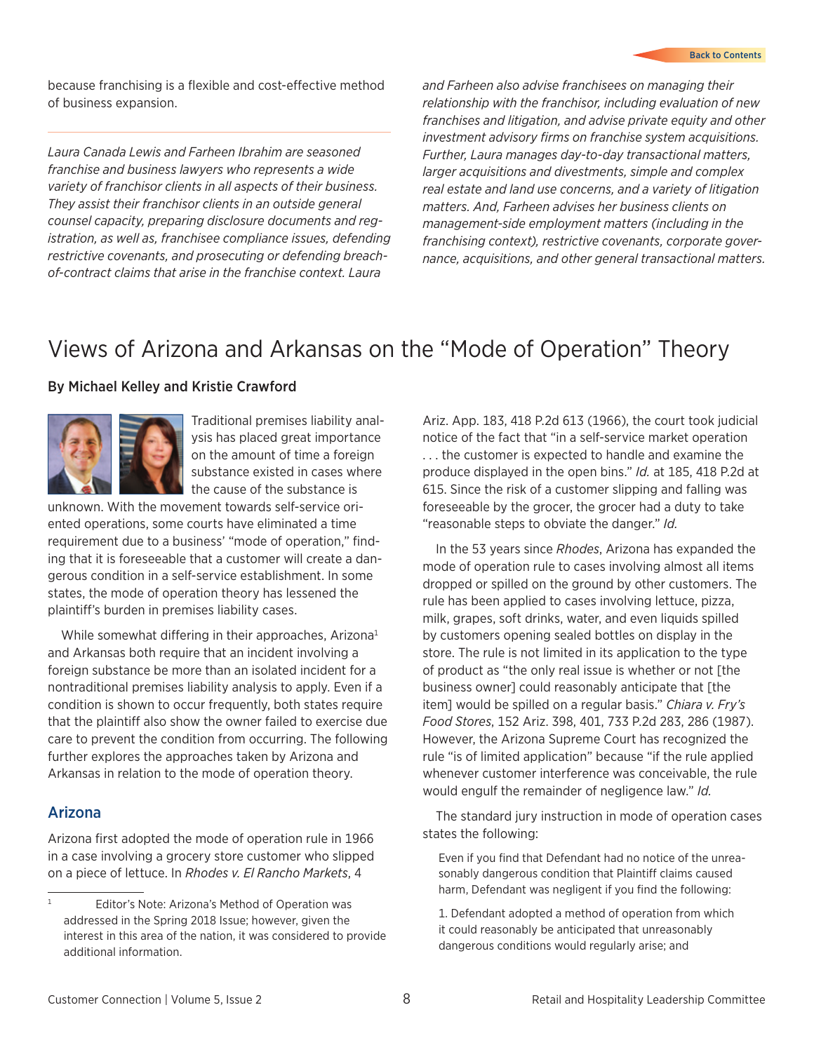<span id="page-7-0"></span>because franchising is a flexible and cost-effective method of business expansion.

*Laura Canada Lewis and Farheen Ibrahim are seasoned franchise and business lawyers who represents a wide variety of franchisor clients in all aspects of their business. They assist their franchisor clients in an outside general counsel capacity, preparing disclosure documents and registration, as well as, franchisee compliance issues, defending restrictive covenants, and prosecuting or defending breachof-contract claims that arise in the franchise context. Laura* 

*and Farheen also advise franchisees on managing their relationship with the franchisor, including evaluation of new franchises and litigation, and advise private equity and other investment advisory firms on franchise system acquisitions. Further, Laura manages day-to-day transactional matters, larger acquisitions and divestments, simple and complex real estate and land use concerns, and a variety of litigation matters. And, Farheen advises her business clients on management-side employment matters (including in the franchising context), restrictive covenants, corporate governance, acquisitions, and other general transactional matters.*

### Views of Arizona and Arkansas on the "Mode of Operation" Theory

#### By Michael Kelley and Kristie Crawford



Traditional premises liability analysis has placed great importance on the amount of time a foreign substance existed in cases where the cause of the substance is

unknown. With the movement towards self-service oriented operations, some courts have eliminated a time requirement due to a business' "mode of operation," finding that it is foreseeable that a customer will create a dangerous condition in a self-service establishment. In some states, the mode of operation theory has lessened the plaintiff's burden in premises liability cases.

While somewhat differing in their approaches, Arizona<sup>1</sup> and Arkansas both require that an incident involving a foreign substance be more than an isolated incident for a nontraditional premises liability analysis to apply. Even if a condition is shown to occur frequently, both states require that the plaintiff also show the owner failed to exercise due care to prevent the condition from occurring. The following further explores the approaches taken by Arizona and Arkansas in relation to the mode of operation theory.

#### Arizona

Arizona first adopted the mode of operation rule in 1966 in a case involving a grocery store customer who slipped on a piece of lettuce. In *Rhodes v. El Rancho Markets*, 4

Ariz. App. 183, 418 P.2d 613 (1966), the court took judicial notice of the fact that "in a self-service market operation . . . the customer is expected to handle and examine the produce displayed in the open bins." *Id.* at 185, 418 P.2d at 615. Since the risk of a customer slipping and falling was foreseeable by the grocer, the grocer had a duty to take "reasonable steps to obviate the danger." *Id.*

In the 53 years since *Rhodes*, Arizona has expanded the mode of operation rule to cases involving almost all items dropped or spilled on the ground by other customers. The rule has been applied to cases involving lettuce, pizza, milk, grapes, soft drinks, water, and even liquids spilled by customers opening sealed bottles on display in the store. The rule is not limited in its application to the type of product as "the only real issue is whether or not [the business owner] could reasonably anticipate that [the item] would be spilled on a regular basis." *Chiara v. Fry's Food Stores*, 152 Ariz. 398, 401, 733 P.2d 283, 286 (1987). However, the Arizona Supreme Court has recognized the rule "is of limited application" because "if the rule applied whenever customer interference was conceivable, the rule would engulf the remainder of negligence law." *Id.*

The standard jury instruction in mode of operation cases states the following:

Even if you find that Defendant had no notice of the unreasonably dangerous condition that Plaintiff claims caused harm, Defendant was negligent if you find the following:

1. Defendant adopted a method of operation from which it could reasonably be anticipated that unreasonably dangerous conditions would regularly arise; and

<sup>&</sup>lt;sup>1</sup> Editor's Note: Arizona's Method of Operation was addressed in the Spring 2018 Issue; however, given the interest in this area of the nation, it was considered to provide additional information.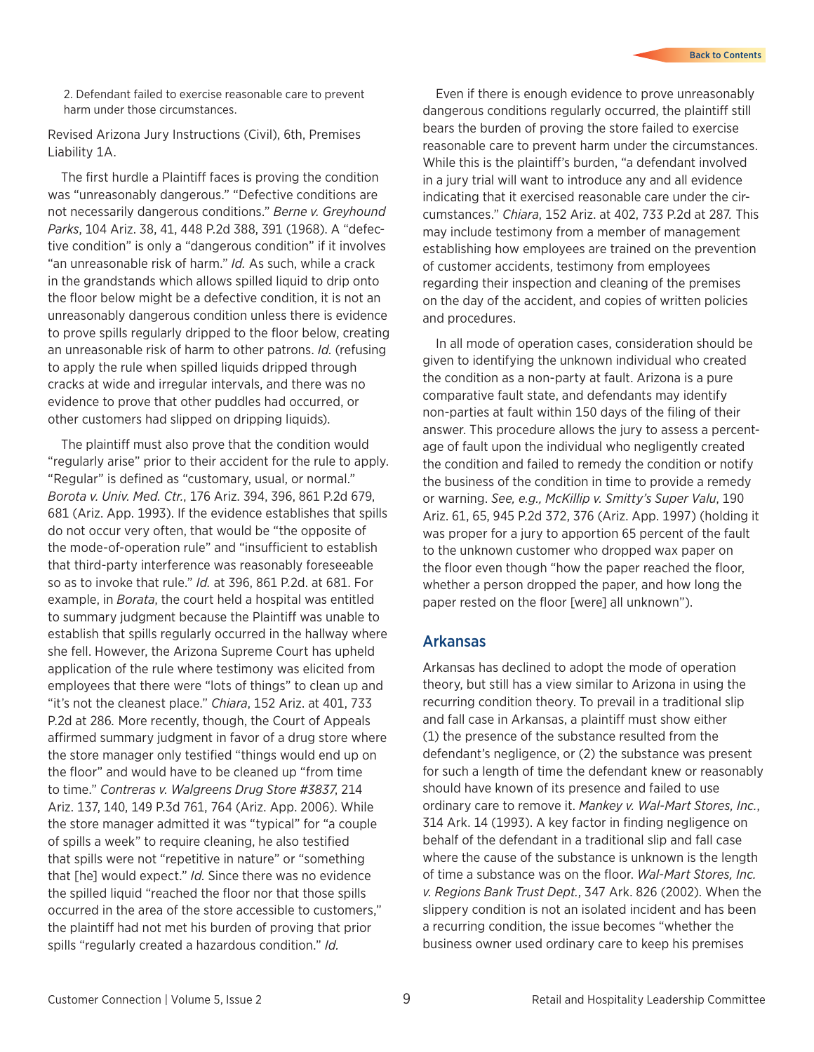2. Defendant failed to exercise reasonable care to prevent harm under those circumstances.

Revised Arizona Jury Instructions (Civil), 6th, Premises Liability 1A.

The first hurdle a Plaintiff faces is proving the condition was "unreasonably dangerous." "Defective conditions are not necessarily dangerous conditions." *Berne v. Greyhound Parks*, 104 Ariz. 38, 41, 448 P.2d 388, 391 (1968). A "defective condition" is only a "dangerous condition" if it involves "an unreasonable risk of harm." *Id.* As such, while a crack in the grandstands which allows spilled liquid to drip onto the floor below might be a defective condition, it is not an unreasonably dangerous condition unless there is evidence to prove spills regularly dripped to the floor below, creating an unreasonable risk of harm to other patrons. *Id.* (refusing to apply the rule when spilled liquids dripped through cracks at wide and irregular intervals, and there was no evidence to prove that other puddles had occurred, or other customers had slipped on dripping liquids).

The plaintiff must also prove that the condition would "regularly arise" prior to their accident for the rule to apply. "Regular" is defined as "customary, usual, or normal." *Borota v. Univ. Med. Ctr.*, 176 Ariz. 394, 396, 861 P.2d 679, 681 (Ariz. App. 1993). If the evidence establishes that spills do not occur very often, that would be "the opposite of the mode-of-operation rule" and "insufficient to establish that third-party interference was reasonably foreseeable so as to invoke that rule." *Id.* at 396, 861 P.2d. at 681. For example, in *Borata*, the court held a hospital was entitled to summary judgment because the Plaintiff was unable to establish that spills regularly occurred in the hallway where she fell. However, the Arizona Supreme Court has upheld application of the rule where testimony was elicited from employees that there were "lots of things" to clean up and "it's not the cleanest place." *Chiara*, 152 Ariz. at 401, 733 P.2d at 286*.* More recently, though, the Court of Appeals affirmed summary judgment in favor of a drug store where the store manager only testified "things would end up on the floor" and would have to be cleaned up "from time to time." *Contreras v. Walgreens Drug Store #3837*, 214 Ariz. 137, 140, 149 P.3d 761, 764 (Ariz. App. 2006). While the store manager admitted it was "typical" for "a couple of spills a week" to require cleaning, he also testified that spills were not "repetitive in nature" or "something that [he] would expect." *Id.* Since there was no evidence the spilled liquid "reached the floor nor that those spills occurred in the area of the store accessible to customers," the plaintiff had not met his burden of proving that prior spills "regularly created a hazardous condition." *Id.*

Even if there is enough evidence to prove unreasonably dangerous conditions regularly occurred, the plaintiff still bears the burden of proving the store failed to exercise reasonable care to prevent harm under the circumstances. While this is the plaintiff's burden, "a defendant involved in a jury trial will want to introduce any and all evidence indicating that it exercised reasonable care under the circumstances." *Chiara*, 152 Ariz. at 402, 733 P.2d at 287*.* This may include testimony from a member of management establishing how employees are trained on the prevention of customer accidents, testimony from employees regarding their inspection and cleaning of the premises on the day of the accident, and copies of written policies and procedures.

In all mode of operation cases, consideration should be given to identifying the unknown individual who created the condition as a non-party at fault. Arizona is a pure comparative fault state, and defendants may identify non-parties at fault within 150 days of the filing of their answer. This procedure allows the jury to assess a percentage of fault upon the individual who negligently created the condition and failed to remedy the condition or notify the business of the condition in time to provide a remedy or warning. *See, e.g., McKillip v. Smitty's Super Valu*, 190 Ariz. 61, 65, 945 P.2d 372, 376 (Ariz. App. 1997) (holding it was proper for a jury to apportion 65 percent of the fault to the unknown customer who dropped wax paper on the floor even though "how the paper reached the floor, whether a person dropped the paper, and how long the paper rested on the floor [were] all unknown").

#### Arkansas

Arkansas has declined to adopt the mode of operation theory, but still has a view similar to Arizona in using the recurring condition theory. To prevail in a traditional slip and fall case in Arkansas, a plaintiff must show either (1) the presence of the substance resulted from the defendant's negligence, or (2) the substance was present for such a length of time the defendant knew or reasonably should have known of its presence and failed to use ordinary care to remove it. *Mankey v. Wal-Mart Stores, Inc.*, 314 Ark. 14 (1993). A key factor in finding negligence on behalf of the defendant in a traditional slip and fall case where the cause of the substance is unknown is the length of time a substance was on the floor. *Wal-Mart Stores, Inc. v. Regions Bank Trust Dept.*, 347 Ark. 826 (2002). When the slippery condition is not an isolated incident and has been a recurring condition, the issue becomes "whether the business owner used ordinary care to keep his premises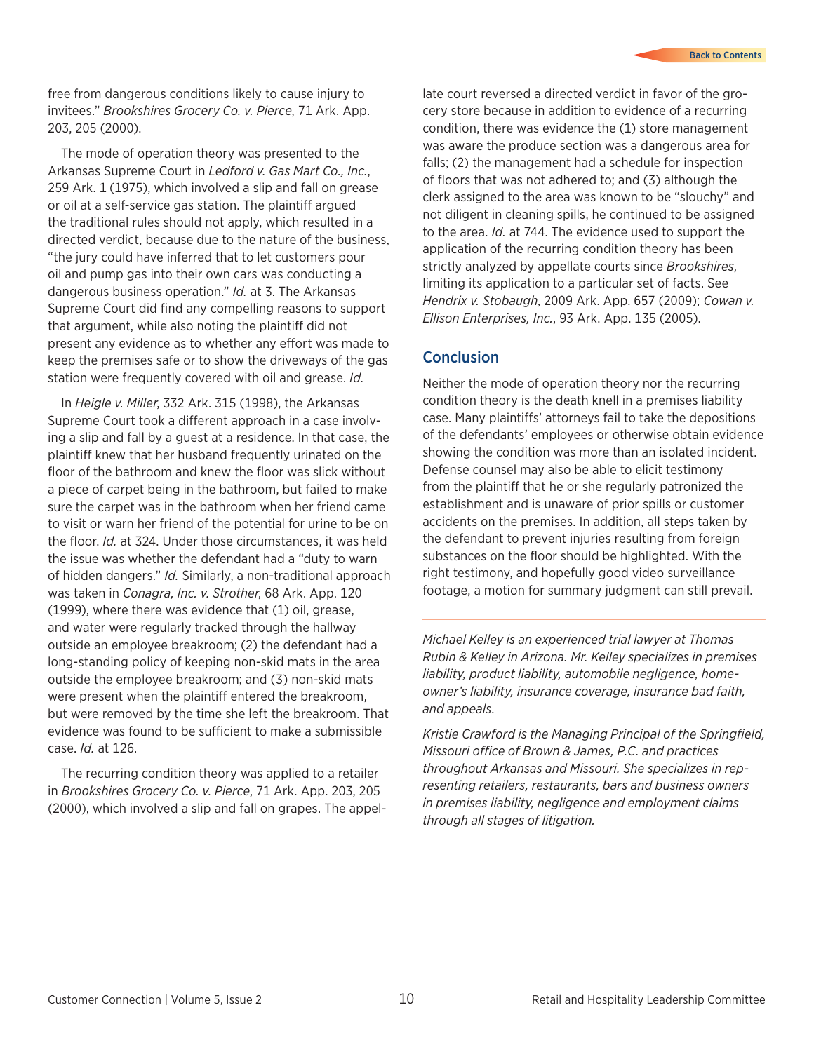free from dangerous conditions likely to cause injury to invitees." *Brookshires Grocery Co. v. Pierce*, 71 Ark. App. 203, 205 (2000).

The mode of operation theory was presented to the Arkansas Supreme Court in *Ledford v. Gas Mart Co., Inc.*, 259 Ark. 1 (1975), which involved a slip and fall on grease or oil at a self-service gas station. The plaintiff argued the traditional rules should not apply, which resulted in a directed verdict, because due to the nature of the business, "the jury could have inferred that to let customers pour oil and pump gas into their own cars was conducting a dangerous business operation." *Id.* at 3. The Arkansas Supreme Court did find any compelling reasons to support that argument, while also noting the plaintiff did not present any evidence as to whether any effort was made to keep the premises safe or to show the driveways of the gas station were frequently covered with oil and grease. *Id.*

In *Heigle v. Miller*, 332 Ark. 315 (1998), the Arkansas Supreme Court took a different approach in a case involving a slip and fall by a guest at a residence. In that case, the plaintiff knew that her husband frequently urinated on the floor of the bathroom and knew the floor was slick without a piece of carpet being in the bathroom, but failed to make sure the carpet was in the bathroom when her friend came to visit or warn her friend of the potential for urine to be on the floor. *Id.* at 324. Under those circumstances, it was held the issue was whether the defendant had a "duty to warn of hidden dangers." *Id.* Similarly, a non-traditional approach was taken in *Conagra, Inc. v. Strother*, 68 Ark. App. 120 (1999), where there was evidence that (1) oil, grease, and water were regularly tracked through the hallway outside an employee breakroom; (2) the defendant had a long-standing policy of keeping non-skid mats in the area outside the employee breakroom; and (3) non-skid mats were present when the plaintiff entered the breakroom, but were removed by the time she left the breakroom. That evidence was found to be sufficient to make a submissible case. *Id.* at 126.

The recurring condition theory was applied to a retailer in *Brookshires Grocery Co. v. Pierce*, 71 Ark. App. 203, 205 (2000), which involved a slip and fall on grapes. The appel-

late court reversed a directed verdict in favor of the grocery store because in addition to evidence of a recurring condition, there was evidence the (1) store management was aware the produce section was a dangerous area for falls; (2) the management had a schedule for inspection of floors that was not adhered to; and (3) although the clerk assigned to the area was known to be "slouchy" and not diligent in cleaning spills, he continued to be assigned to the area. *Id.* at 744. The evidence used to support the application of the recurring condition theory has been strictly analyzed by appellate courts since *Brookshires*, limiting its application to a particular set of facts. See *Hendrix v. Stobaugh*, 2009 Ark. App. 657 (2009); *Cowan v. Ellison Enterprises, Inc.*, 93 Ark. App. 135 (2005).

#### **Conclusion**

Neither the mode of operation theory nor the recurring condition theory is the death knell in a premises liability case. Many plaintiffs' attorneys fail to take the depositions of the defendants' employees or otherwise obtain evidence showing the condition was more than an isolated incident. Defense counsel may also be able to elicit testimony from the plaintiff that he or she regularly patronized the establishment and is unaware of prior spills or customer accidents on the premises. In addition, all steps taken by the defendant to prevent injuries resulting from foreign substances on the floor should be highlighted. With the right testimony, and hopefully good video surveillance footage, a motion for summary judgment can still prevail.

*Michael Kelley is an experienced trial lawyer at Thomas Rubin & Kelley in Arizona. Mr. Kelley specializes in premises liability, product liability, automobile negligence, homeowner's liability, insurance coverage, insurance bad faith, and appeals.*

*Kristie Crawford is the Managing Principal of the Springfield, Missouri office of Brown & James, P.C. and practices throughout Arkansas and Missouri. She specializes in representing retailers, restaurants, bars and business owners in premises liability, negligence and employment claims through all stages of litigation.*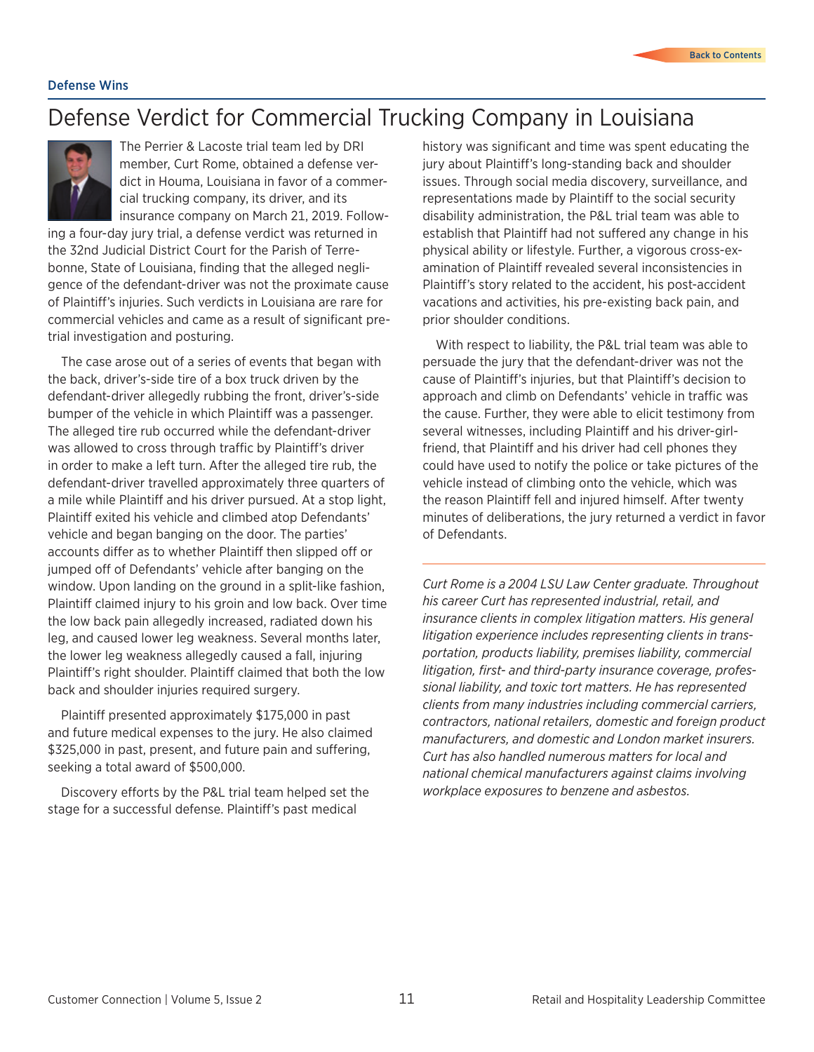### <span id="page-10-0"></span>Defense Verdict for Commercial Trucking Company in Louisiana



The Perrier & Lacoste trial team led by DRI member, Curt Rome, obtained a defense verdict in Houma, Louisiana in favor of a commercial trucking company, its driver, and its insurance company on March 21, 2019. Follow-

ing a four-day jury trial, a defense verdict was returned in the 32nd Judicial District Court for the Parish of Terrebonne, State of Louisiana, finding that the alleged negligence of the defendant-driver was not the proximate cause of Plaintiff's injuries. Such verdicts in Louisiana are rare for commercial vehicles and came as a result of significant pretrial investigation and posturing.

The case arose out of a series of events that began with the back, driver's-side tire of a box truck driven by the defendant-driver allegedly rubbing the front, driver's-side bumper of the vehicle in which Plaintiff was a passenger. The alleged tire rub occurred while the defendant-driver was allowed to cross through traffic by Plaintiff's driver in order to make a left turn. After the alleged tire rub, the defendant-driver travelled approximately three quarters of a mile while Plaintiff and his driver pursued. At a stop light, Plaintiff exited his vehicle and climbed atop Defendants' vehicle and began banging on the door. The parties' accounts differ as to whether Plaintiff then slipped off or jumped off of Defendants' vehicle after banging on the window. Upon landing on the ground in a split-like fashion, Plaintiff claimed injury to his groin and low back. Over time the low back pain allegedly increased, radiated down his leg, and caused lower leg weakness. Several months later, the lower leg weakness allegedly caused a fall, injuring Plaintiff's right shoulder. Plaintiff claimed that both the low back and shoulder injuries required surgery.

Plaintiff presented approximately \$175,000 in past and future medical expenses to the jury. He also claimed \$325,000 in past, present, and future pain and suffering, seeking a total award of \$500,000.

Discovery efforts by the P&L trial team helped set the stage for a successful defense. Plaintiff's past medical

history was significant and time was spent educating the jury about Plaintiff's long-standing back and shoulder issues. Through social media discovery, surveillance, and representations made by Plaintiff to the social security disability administration, the P&L trial team was able to establish that Plaintiff had not suffered any change in his physical ability or lifestyle. Further, a vigorous cross-examination of Plaintiff revealed several inconsistencies in Plaintiff's story related to the accident, his post-accident vacations and activities, his pre-existing back pain, and prior shoulder conditions.

With respect to liability, the P&L trial team was able to persuade the jury that the defendant-driver was not the cause of Plaintiff's injuries, but that Plaintiff's decision to approach and climb on Defendants' vehicle in traffic was the cause. Further, they were able to elicit testimony from several witnesses, including Plaintiff and his driver-girlfriend, that Plaintiff and his driver had cell phones they could have used to notify the police or take pictures of the vehicle instead of climbing onto the vehicle, which was the reason Plaintiff fell and injured himself. After twenty minutes of deliberations, the jury returned a verdict in favor of Defendants.

*Curt Rome is a 2004 LSU Law Center graduate. Throughout his career Curt has represented industrial, retail, and insurance clients in complex litigation matters. His general litigation experience includes representing clients in transportation, products liability, premises liability, commercial litigation, first- and third-party insurance coverage, professional liability, and toxic tort matters. He has represented clients from many industries including commercial carriers, contractors, national retailers, domestic and foreign product manufacturers, and domestic and London market insurers. Curt has also handled numerous matters for local and national chemical manufacturers against claims involving workplace exposures to benzene and asbestos.*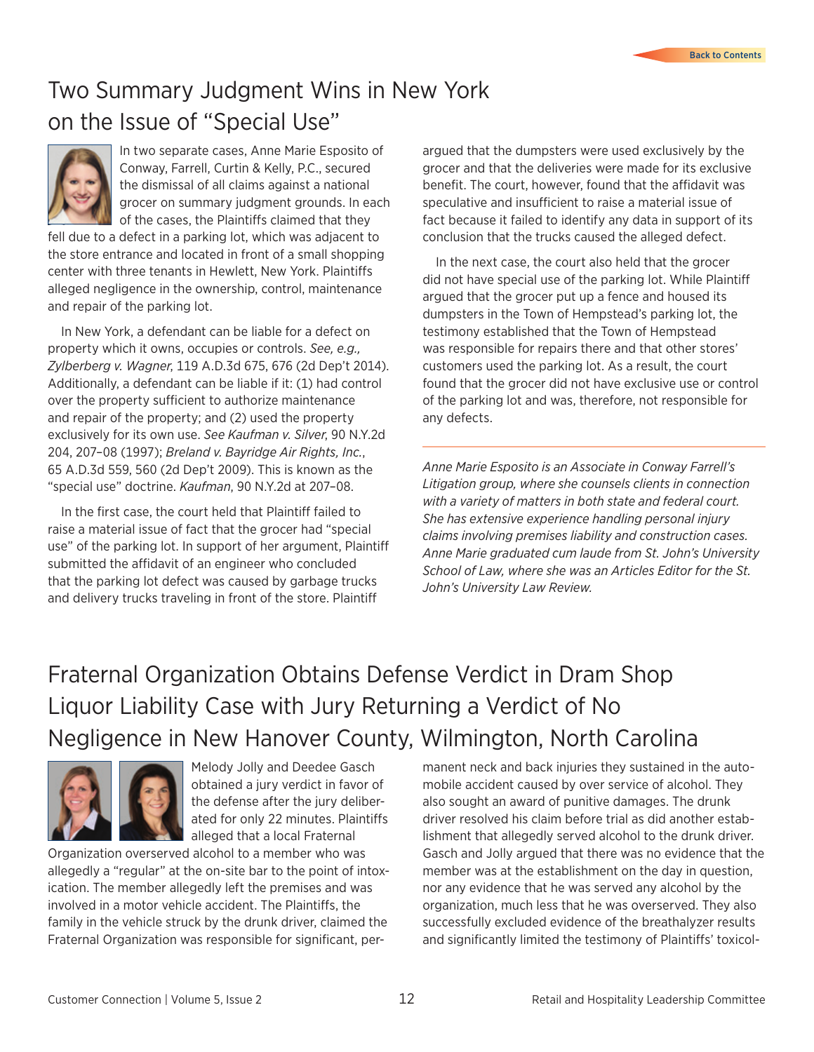## <span id="page-11-0"></span>Two Summary Judgment Wins in New York on the Issue of "Special Use"



In two separate cases, Anne Marie Esposito of Conway, Farrell, Curtin & Kelly, P.C., secured the dismissal of all claims against a national grocer on summary judgment grounds. In each of the cases, the Plaintiffs claimed that they

fell due to a defect in a parking lot, which was adjacent to the store entrance and located in front of a small shopping center with three tenants in Hewlett, New York. Plaintiffs alleged negligence in the ownership, control, maintenance and repair of the parking lot.

In New York, a defendant can be liable for a defect on property which it owns, occupies or controls. *See, e.g., Zylberberg v. Wagner*, 119 A.D.3d 675, 676 (2d Dep't 2014). Additionally, a defendant can be liable if it: (1) had control over the property sufficient to authorize maintenance and repair of the property; and (2) used the property exclusively for its own use. *See Kaufman v. Silver*, 90 N.Y.2d 204, 207–08 (1997); *Breland v. Bayridge Air Rights, Inc.*, 65 A.D.3d 559, 560 (2d Dep't 2009). This is known as the "special use" doctrine. *Kaufman*, 90 N.Y.2d at 207–08.

In the first case, the court held that Plaintiff failed to raise a material issue of fact that the grocer had "special use" of the parking lot. In support of her argument, Plaintiff submitted the affidavit of an engineer who concluded that the parking lot defect was caused by garbage trucks and delivery trucks traveling in front of the store. Plaintiff

argued that the dumpsters were used exclusively by the grocer and that the deliveries were made for its exclusive benefit. The court, however, found that the affidavit was speculative and insufficient to raise a material issue of fact because it failed to identify any data in support of its conclusion that the trucks caused the alleged defect.

In the next case, the court also held that the grocer did not have special use of the parking lot. While Plaintiff argued that the grocer put up a fence and housed its dumpsters in the Town of Hempstead's parking lot, the testimony established that the Town of Hempstead was responsible for repairs there and that other stores' customers used the parking lot. As a result, the court found that the grocer did not have exclusive use or control of the parking lot and was, therefore, not responsible for any defects.

*Anne Marie Esposito is an Associate in Conway Farrell's Litigation group, where she counsels clients in connection with a variety of matters in both state and federal court. She has extensive experience handling personal injury claims involving premises liability and construction cases. Anne Marie graduated cum laude from St. John's University School of Law, where she was an Articles Editor for the St. John's University Law Review.*

# Fraternal Organization Obtains Defense Verdict in Dram Shop Liquor Liability Case with Jury Returning a Verdict of No Negligence in New Hanover County, Wilmington, North Carolina



Melody Jolly and Deedee Gasch obtained a jury verdict in favor of the defense after the jury deliberated for only 22 minutes. Plaintiffs alleged that a local Fraternal

Organization overserved alcohol to a member who was allegedly a "regular" at the on-site bar to the point of intoxication. The member allegedly left the premises and was involved in a motor vehicle accident. The Plaintiffs, the family in the vehicle struck by the drunk driver, claimed the Fraternal Organization was responsible for significant, per-

manent neck and back injuries they sustained in the automobile accident caused by over service of alcohol. They also sought an award of punitive damages. The drunk driver resolved his claim before trial as did another establishment that allegedly served alcohol to the drunk driver. Gasch and Jolly argued that there was no evidence that the member was at the establishment on the day in question, nor any evidence that he was served any alcohol by the organization, much less that he was overserved. They also successfully excluded evidence of the breathalyzer results and significantly limited the testimony of Plaintiffs' toxicol-